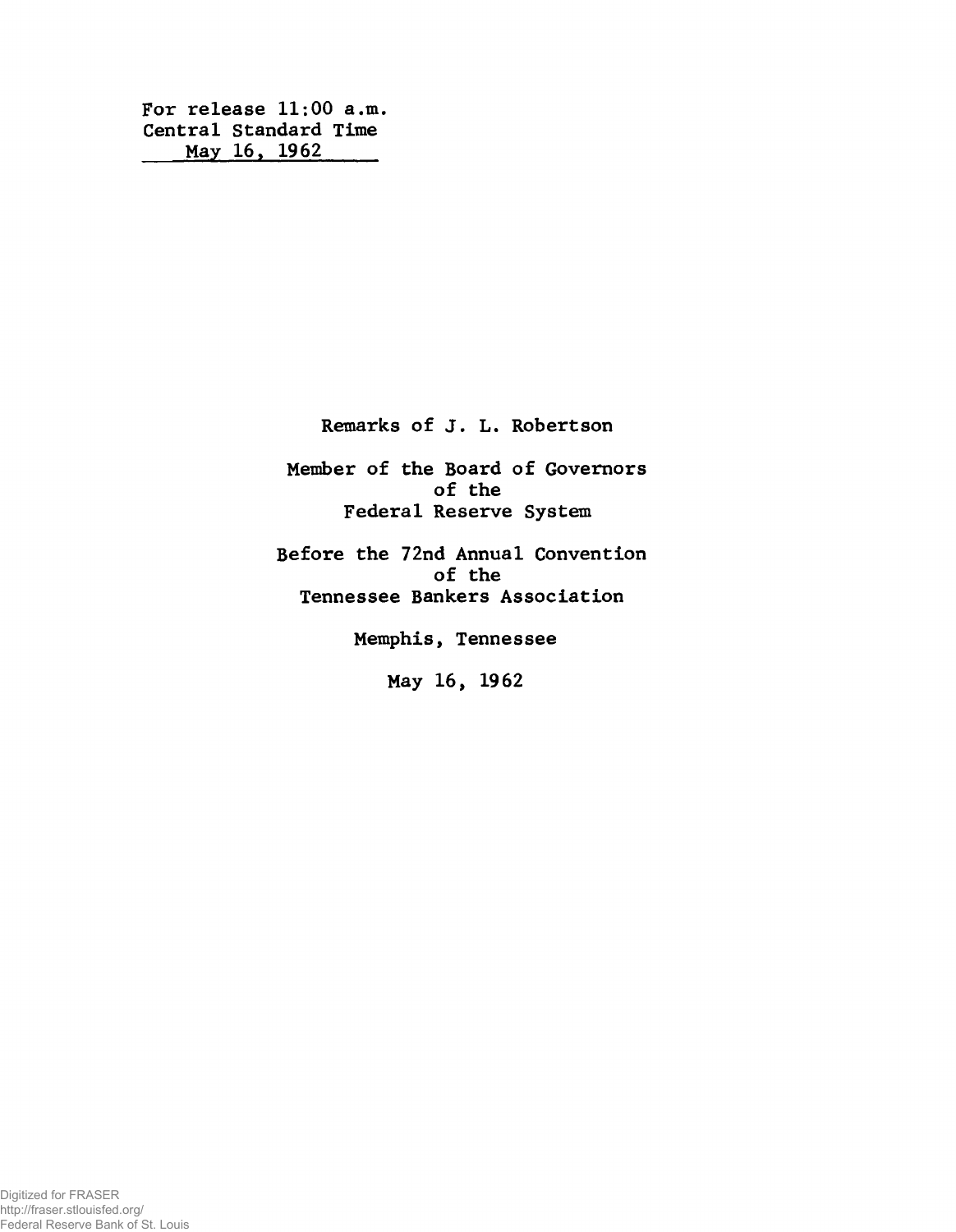**For release 11:00 a.m. Central Standard Time May 16. 1962**

**Remarks of J. L. Robertson**

**Member of the Board of Governors of the Federal Reserve System**

**Before the 72nd Annual Convention of the Tennessee Bankers Association**

**Memphis, Tennessee**

**May 16, 1962**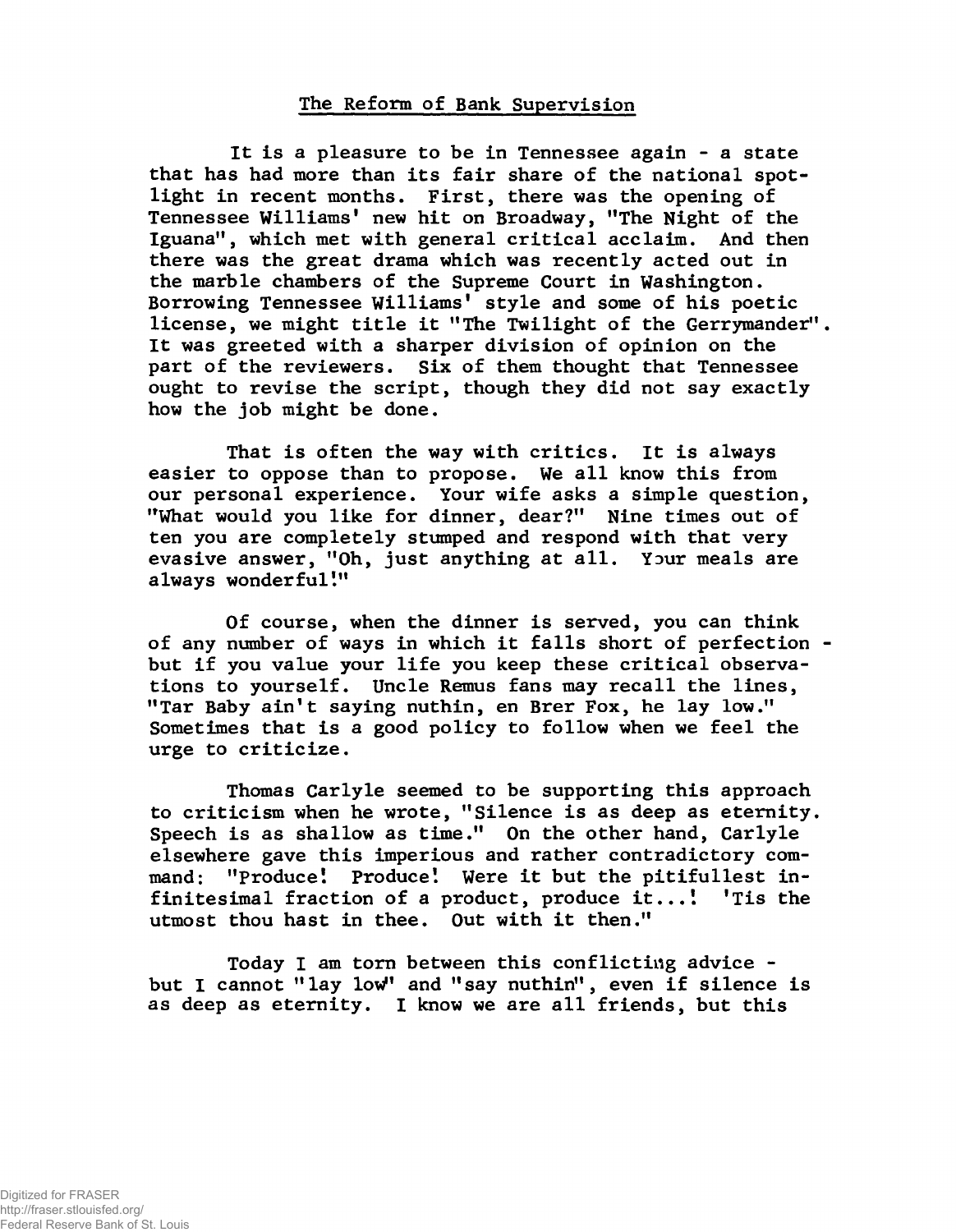## **The Reform of Bank Supervision**

**It is a pleasure to be in Tennessee again - a state that has had more than its fair share of the national spotlight in recent months. First, there was the opening of Tennessee Williams' new hit on Broadway, "The Night of the Iguana", which met with general critical acclaim. And then there was the great drama which was recently acted out in the marble chambers of the Supreme Court in Washington. Borrowing Tennessee Williams' style and some of his poetic license, we might title it "The Twilight of the Gerrymander" It was greeted with a sharper division of opinion on the part of the reviewers. Six of them thought that Tennessee ought to revise the script, though they did not say exactly how the job might be done.**

**That is often the way with critics. It is always easier to oppose than to propose. We all know this from our personal experience. Your wife asks a simple question, "What would you like for dinner, dear?" Nine times out of ten you are completely stumped and respond with that very evasive answer, "Oh, just anything at all. Your meals are always wonderful!"**

**Of course, when the dinner is served, you can think of any number of ways in which it falls short of perfection but if you value your life you keep these critical observations to yourself. Uncle Remus fans may recall the lines, "Tar Baby ain't saying nuthin, en Brer Fox, he lay low." Sometimes that is a good policy to follow when we feel the urge to criticize.**

**Thomas Carlyle seemed to be supporting this approach to criticism when he wrote, "Silence is as deep as eternity. Speech is as shallow as time." On the other hand, Carlyle elsewhere gave this imperious and rather contradictory command: "Produce! Produce! Were it but the pitifullest infinitesimal fraction of a product, produce it...! 'Tis the utmost thou hast in thee. Out with it then."**

**Today I am torn between this conflicting advice but I cannot "lay low" and "say nuthin", even if silence is as deep as eternity. I know we are all friends, but this**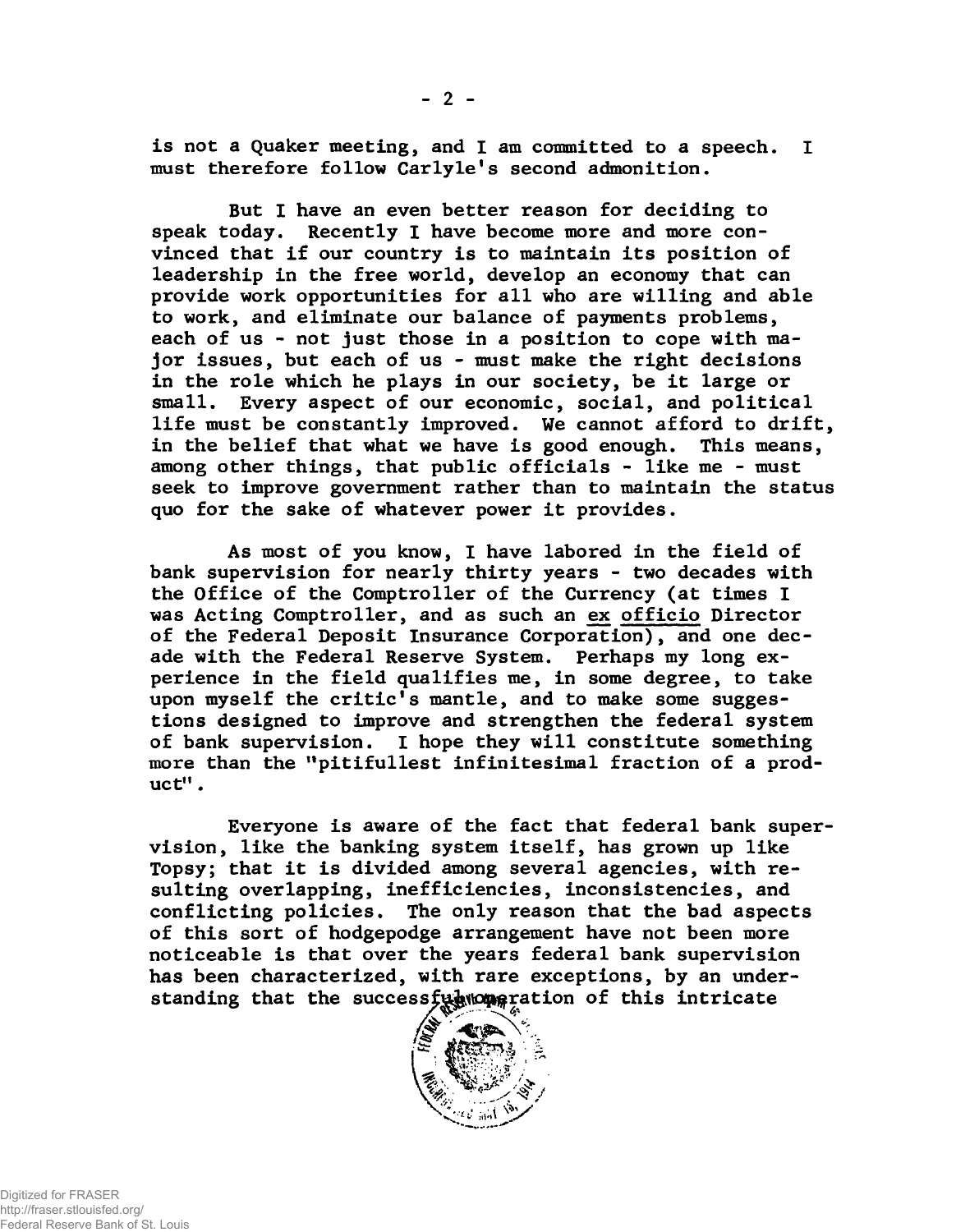**is not a Quaker meeting, and I am committed to a speech. I must therefore follow Carlyle's second admonition.**

**But I have an even better reason for deciding to speak today. Recently I have become more and more convinced that if our country is to maintain its position of leadership in the free world, develop an economy that can provide work opportunities for all who are willing and able to work, and eliminate our balance of payments problems, each of us - not just those in a position to cope with major issues, but each of us - must make the right decisions in the role which he plays in our society, be it large or small. Every aspect of our economic, social, and political life must be constantly improved. We cannot afford to drift, in the belief that what we have is good enough. This means, among other things, that public officials - like me - must seek to improve government rather than to maintain the status quo for the sake of whatever power it provides.**

**As most of you know, I have labored in the field of bank supervision for nearly thirty years - two decades with the Office of the Comptroller of the Currency (at times I was Acting Comptroller, and as such an ex officio Director of the Federal Deposit Insurance Corporation), and one decade with the Federal Reserve System. Perhaps my long experience in the field qualifies me, in some degree, to take upon myself the critic's mantle, and to make some suggestions designed to improve and strengthen the federal system of bank supervision. I hope they will constitute something more than the "pitifullest infinitesimal fraction of a product" .**

**Everyone is aware of the fact that federal bank supervision, like the banking system itself, has grown up like Topsy; that it is divided among several agencies, with resulting overlapping, inefficiencies, inconsistencies, and conflicting policies. The only reason that the bad aspects of this sort of hodgepodge arrangement have not been more noticeable is that over the years federal bank supervision has been characterized, with rare exceptions, by an under**standing that the successfu $\frac{1}{2}$  **c** at ion of this intricate

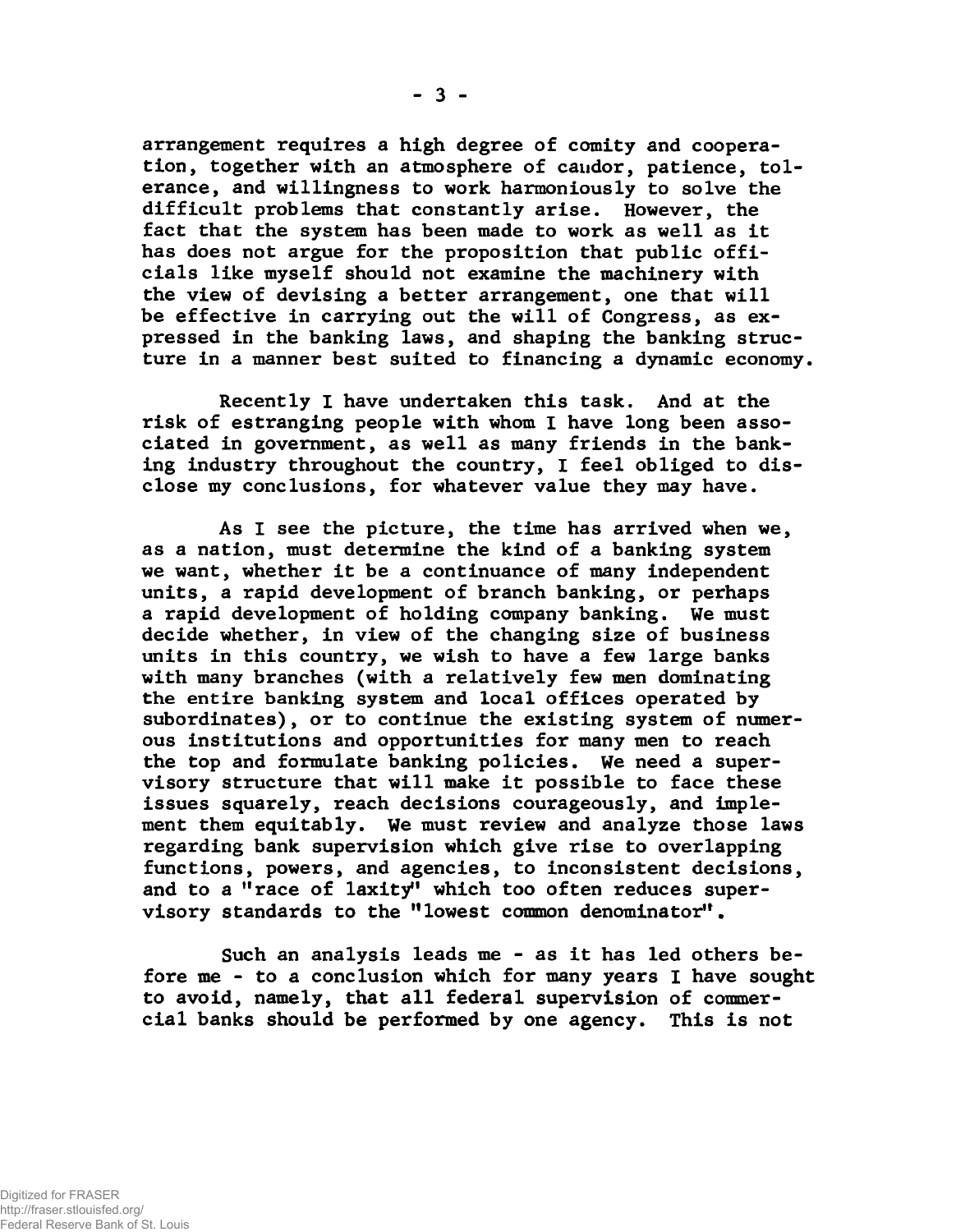**arrangement requires a high degree of comity and cooperation, together with an atmosphere of candor, patience, tolerance, and willingness to work harmoniously to solve the difficult problems that constantly arise. However, the fact that the system has been made to work as well as it has does not argue for the proposition that public officials like myself should not examine the machinery with the view of devising a better arrangement, one that will be effective in carrying out the will of Congress, as expressed in the banking laws, and shaping the banking structure in a manner best suited to financing a dynamic economy.**

**Recently I have undertaken this task. And at the risk of estranging people with whom 1 have long been associated in government, as well as many friends in the banking industry throughout the country, I feel obliged to disclose my conclusions, for whatever value they may have.**

**As 1 see the picture, the time has arrived when we, as a nation, must determine the kind of a banking system we want, whether it be a continuance of many independent units, a rapid development of branch banking, or perhaps a rapid development of holding company banking. We must decide whether, in view of the changing size of business units in this country, we wish to have a few large banks with many branches (with a relatively few men dominating the entire banking system and local offices operated by subordinates), or to continue the existing system of numerous institutions and opportunities for many men to reach the top and formulate banking policies. We need a supervisory structure that will make it possible to face these issues squarely, reach decisions courageously, and implement them equitably. We must review and analyze those laws regarding bank supervision which give rise to overlapping functions, powers, and agencies, to inconsistent decisions, and to a "race of laxity" which too often reduces supervisory standards to the "lowest common denominator".**

**Such an analysis leads me - as it has led others before me - to a conclusion which for many years I have sought to avoid, namely, that all federal supervision of commercial banks should be performed by one agency. This is not**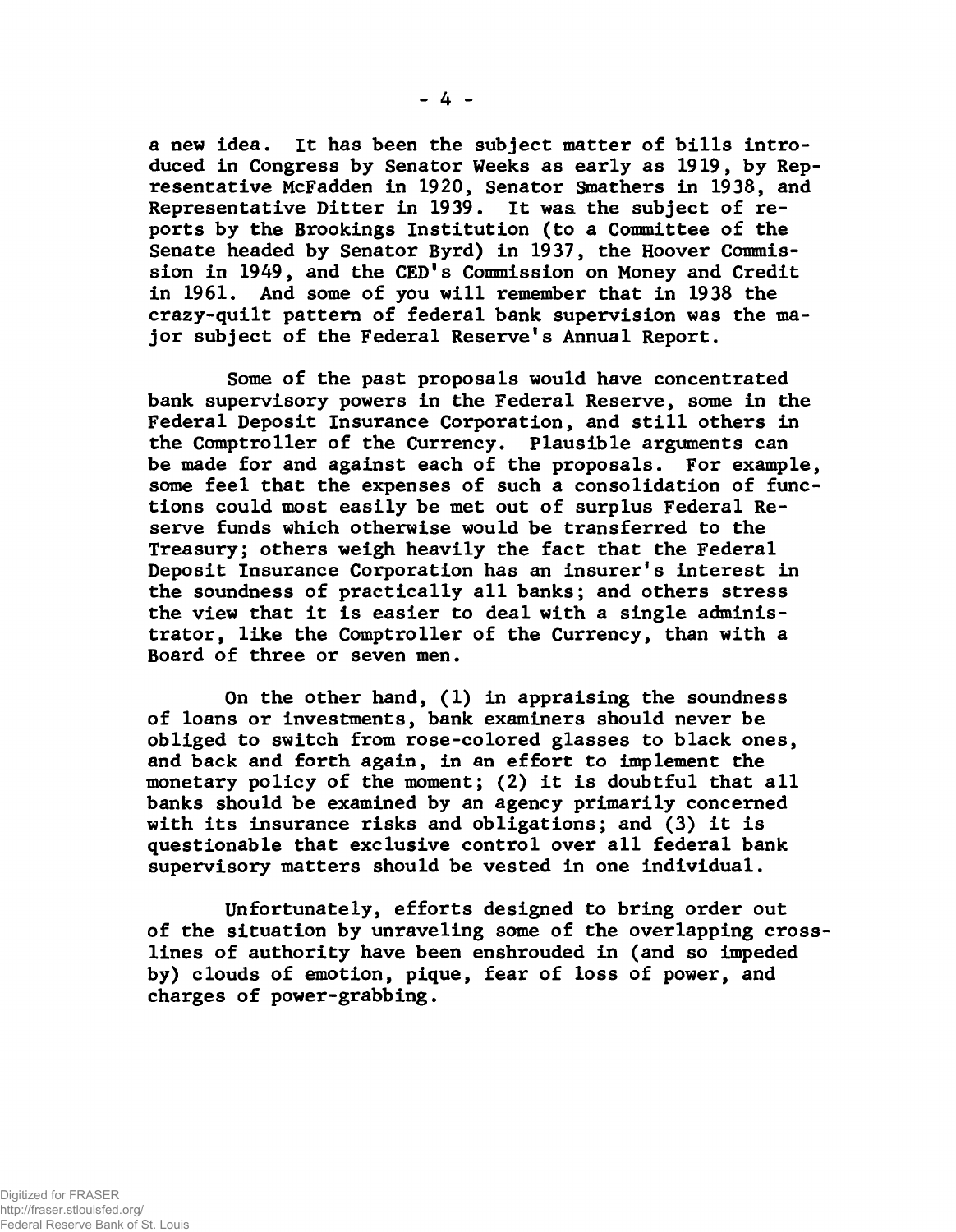**a new idea. It has been the subject matter of bills introduced in Congress by Senator Weeks as early as 1919, by Representative McFadden in 1920, Senator Smathers in 1938, and Representative Ditter in 1939. It was the subject of reports by the Brookings Institution (to a Committee of the Senate headed by Senator Byrd) in 1937, the Hoover Commission in 1949, and the CED's Commission on Money and Credit in 1961. And some of you will remember that in 1938 the crazy-quilt pattern of federal bank supervision was the major subject of the Federal Reserve's Annual Report.**

**Some of the past proposals would have concentrated bank supervisory powers in the Federal Reserve, some in the Federal Deposit Insurance Corporation, and still others in the Comptroller of the Currency. Plausible arguments can be made for and against each of the proposals. For example, some feel that the expenses of such a consolidation of functions could most easily be met out of surplus Federal Reserve funds which otherwise would be transferred to the Treasury; others weigh heavily the fact that the Federal Deposit Insurance Corporation has an insurer's interest in the soundness of practically all banks; and others stress the view that it is easier to deal with a single administrator, like the Comptroller of the Currency, than with a Board of three or seven men.**

**On the other hand, (1) in appraising the soundness of loans or investments, bank examiners should never be obliged to switch from rose-colored glasses to black ones, and back and forth again, in an effort to implement the monetary policy of the moment; (2) it is doubtful that all banks should be examined by an agency primarily concerned with its insurance risks and obligations; and (3) it is questionable that exclusive control over all federal bank supervisory matters should be vested in one individual.**

**Unfortunately, efforts designed to bring order out of the situation by unraveling some of the overlapping crosslines of authority have been enshrouded in (and so impeded by) clouds of emotion, pique, fear of loss of power, and charges of power-grabbing.**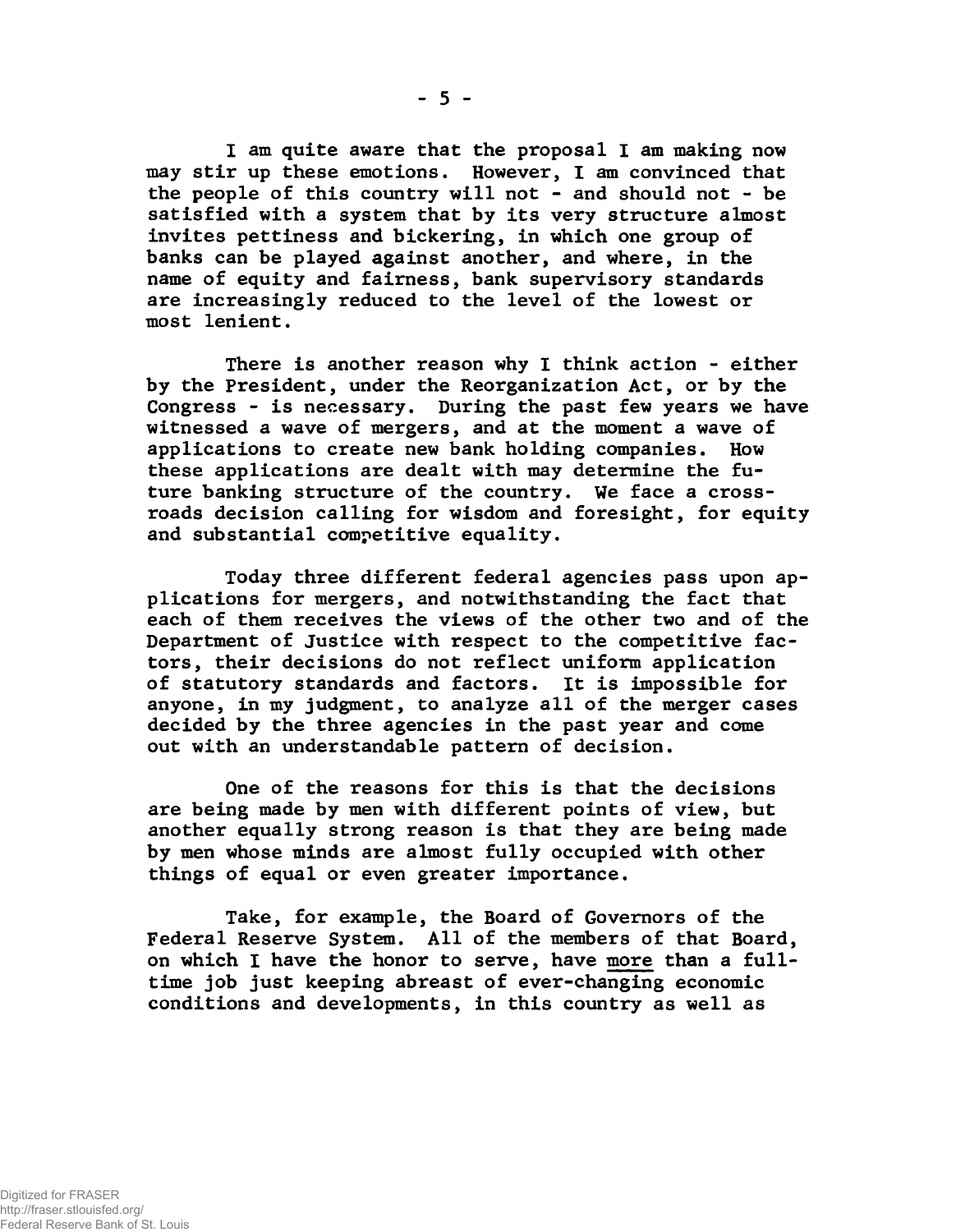**I am quite aware that the proposal I am making now may stir up these emotions. However, 1 am convinced that the people of this country will not - and should not - be satisfied with a system that by its very structure almost invites pettiness and bickering, in which one group of banks can be played against another, and where, in the name of equity and fairness, bank supervisory standards are increasingly reduced to the level of the lowest or most lenient.**

**There is another reason why I think action - either by the President, under the Reorganization Act, or by the Congress - is necessary. During the past few years we have witnessed a wave of mergers, and at the moment a wave of applications to create new bank holding companies. How these applications are dealt with may determine the future banking structure of the country. We face a crossroads decision calling for wisdom and foresight, for equity and substantial competitive equality.**

**Today three different federal agencies pass upon applications for mergers, and notwithstanding the fact that each of them receives the views of the other two and of the Department of Justice with respect to the competitive factors, their decisions do not reflect uniform application of statutory standards and factors. It is impossible for anyone, in my judgment, to analyze all of the merger cases decided by the three agencies in the past year and come out with an understandable pattern of decision.**

**One of the reasons for this is that the decisions are being made by men with different points of view, but another equally strong reason is that they are being made by men whose minds are almost fully occupied with other things of equal or even greater importance.**

**Take, for example, the Board of Governors of the Federal Reserve System. All of the members of that Board, on which I have the honor to serve, have more than a fulltime job just keeping abreast of ever-changing economic conditions and developments, in this country as well as**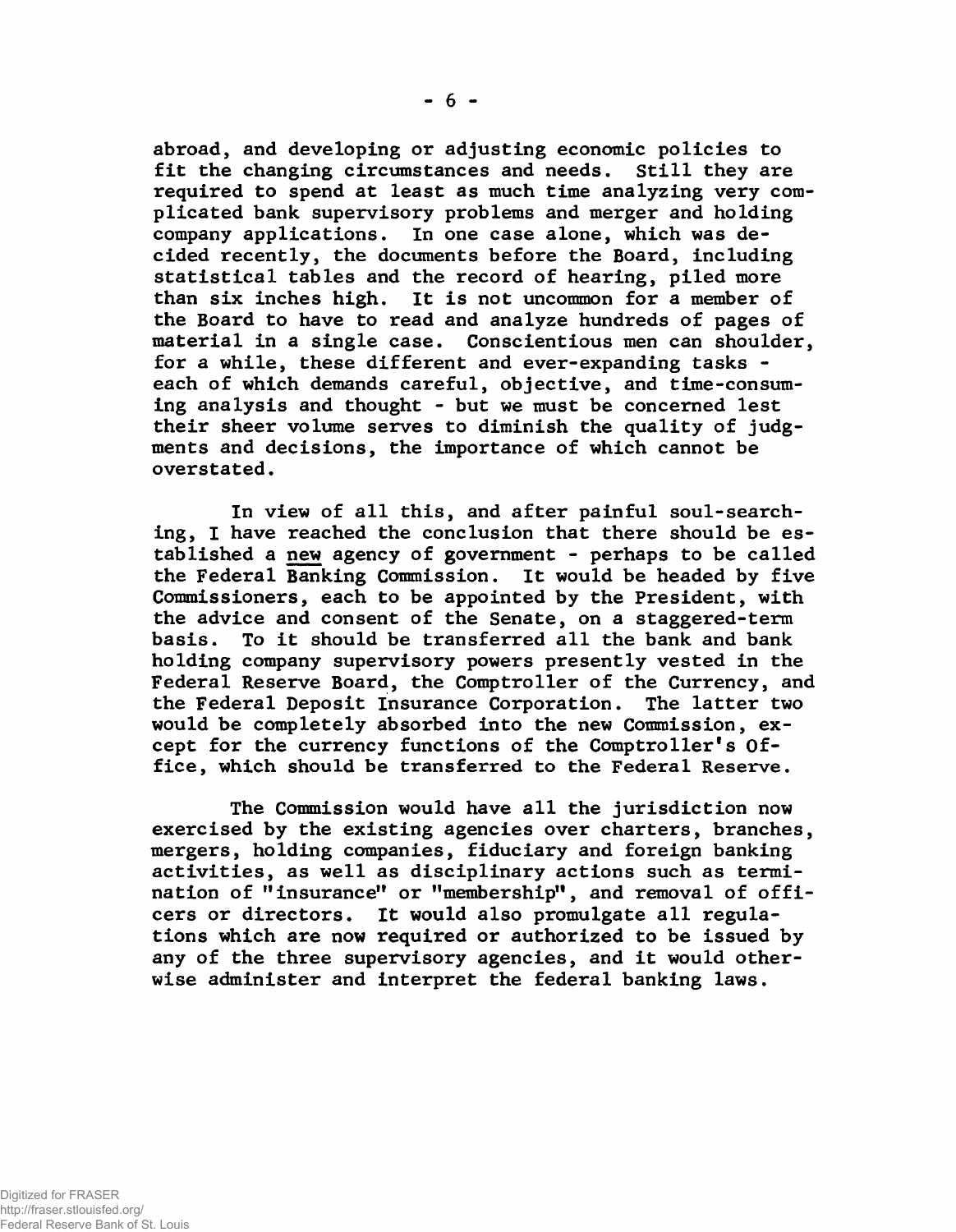**abroad, and developing or adjusting economic policies to fit the changing circumstances and needs. Still they are required to spend at least as much time analyzing very complicated bank supervisory problems and merger and holding company applications. In one case alone, which was decided recently, the documents before the Board, including statistical tables and the record of hearing, piled more than six inches high. It is not uncommon for a member of the Board to have to read and analyze hundreds of pages of material in a single case. Conscientious men can shoulder, for a while, these different and ever-expanding tasks each of which demands careful, objective, and time-consuming analysis and thought - but we must be concerned lest their sheer volume serves to diminish the quality of judgments and decisions, the importance of which cannot be overstated.**

**In view of all this, and after painful soul-searching, I have reached the conclusion that there should be established a new agency of government - perhaps to be called the Federal Banking Commission. It would be headed by five Commissioners, each to be appointed by the President, with the advice and consent of the Senate, on a staggered-term basis. To it should be transferred all the bank and bank holding company supervisory powers presently vested in the Federal Reserve Board, the Comptroller of the Currency, and the Federal Deposit Insurance Corporation. The latter two would be completely absorbed into the new Commission, except for the currency functions of the Comptroller's Office, which should be transferred to the Federal Reserve.**

**The Commission would have all the jurisdiction now exercised by the existing agencies over charters, branches, mergers, holding companies, fiduciary and foreign banking activities, as well as disciplinary actions such as termination of "insurance" or "membership", and removal of officers or directors. It would also promulgate all regulations which are now required or authorized to be issued by any of the three supervisory agencies, and it would otherwise administer and interpret the federal banking laws.**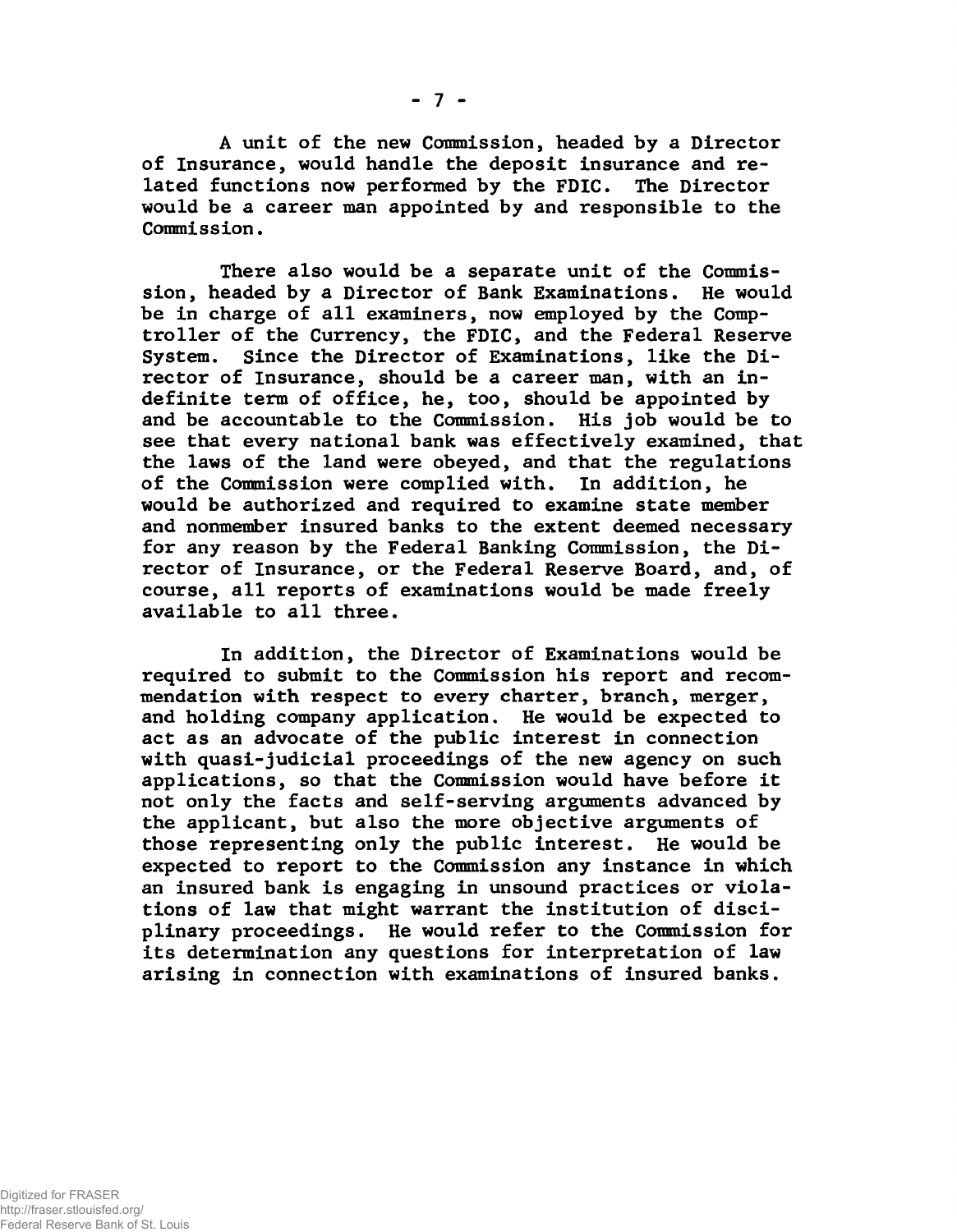**A unit of the new Commission, headed by a Director of Insurance, would handle the deposit insurance and related functions now performed by the FDIC. The Director would be a career man appointed by and responsible to the Commission.**

**There also would be a separate unit of the Commission, headed by a Director of Bank Examinations. He would be in charge of all examiners, now employed by the Comptroller of the Currency, the FDIC, and the Federal Reserve System. Since the Director of Examinations, like the Director of Insurance, should be a career man, with an indefinite term of office, he, too, should be appointed by and be accountable to the Commission. His job would be to see that every national bank was effectively examined, that the laws of the land were obeyed, and that the regulations of the Commission were complied with. In addition, he would be authorized and required to examine state member and nonmember insured banks to the extent deemed necessary for any reason by the Federal Banking Commission, the Director of Insurance, or the Federal Reserve Board, and, of course, all reports of examinations would be made freely available to all three.**

**In addition, the Director of Examinations would be required to submit to the Commission his report and recommendation with respect to every charter, branch, merger, and holding company application. He would be expected to act as an advocate of the public interest in connection with quasi-judicial proceedings of the new agency on such applications, so that the Commission would have before it not only the facts and self-serving arguments advanced by the applicant, but also the more objective arguments of those representing only the public interest. He would be expected to report to the Commission any instance in which an insured bank is engaging in unsound practices or violations of law that might warrant the institution of disciplinary proceedings. He would refer to the Commission for its determination any questions for interpretation of law arising in connection with examinations of insured banks.**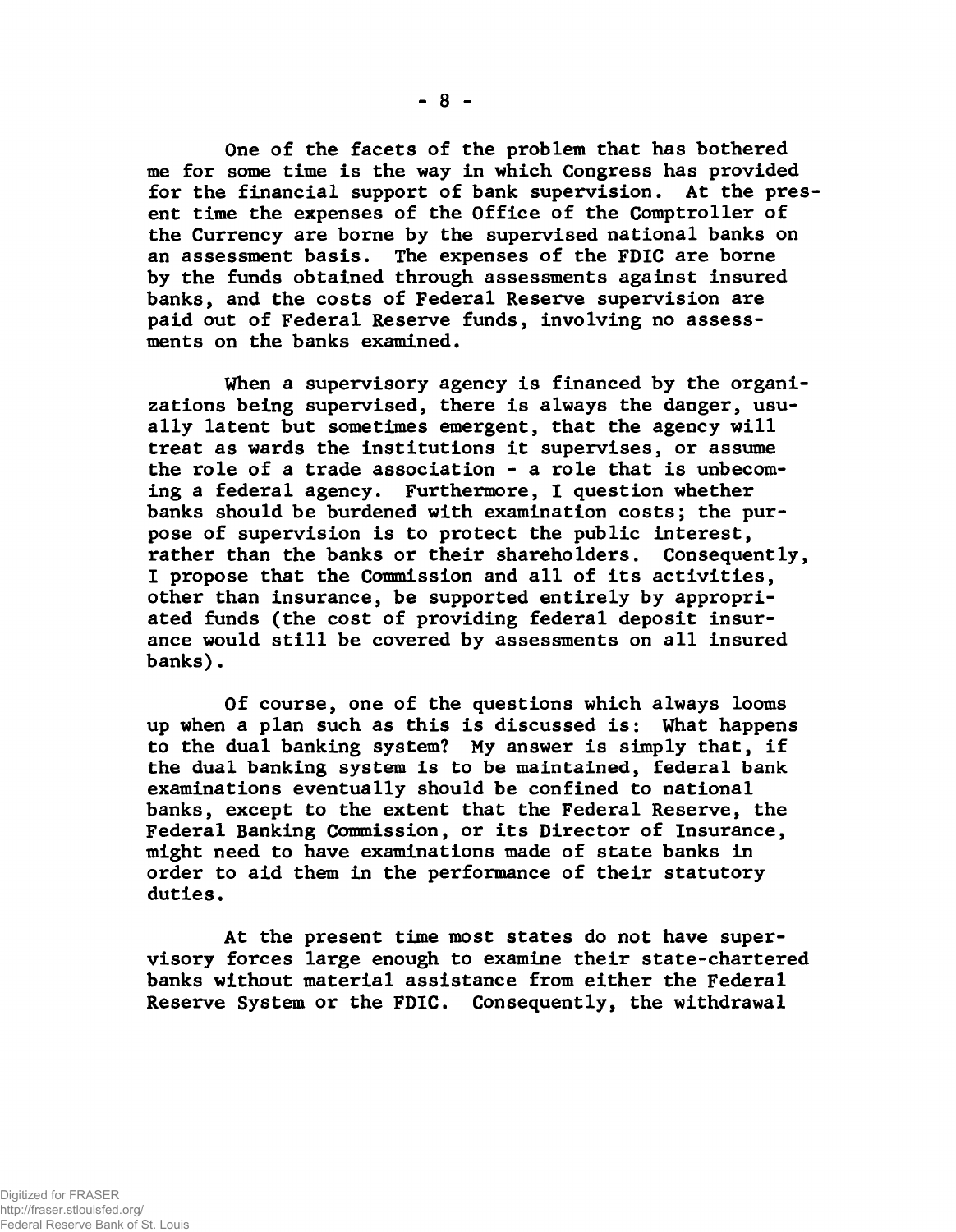**One of the facets of the problem that has bothered me for some time is the way in which Congress has provided for the financial support of bank supervision. At the present time the expenses of the Office of the Comptroller of the Currency are borne by the supervised national banks on an assessment basis. The expenses of the FDIC are borne by the funds obtained through assessments against insured banks, and the costs of Federal Reserve supervision are paid out of Federal Reserve funds, involving no assessments on the banks examined.**

**When a supervisory agency is financed by the organizations being supervised, there is always the danger, usually latent but sometimes emergent, that the agency will treat as wards the institutions it supervises, or assume the role of a trade association - a role that is unbecoming a federal agency. Furthermore, I question whether banks should be burdened with examination costs; the purpose of supervision is to protect the public interest, rather than the banks or their shareholders. Consequently, I propose that the Commission and all of its activities, other than insurance, be supported entirely by appropriated funds (the cost of providing federal deposit insurance would still be covered by assessments on all insured banks).**

**Of course, one of the questions which always looms up when a plan such as this is discussed is: What happens to the dual banking system? My answer is simply that, if the dual banking system is to be maintained, federal bank examinations eventually should be confined to national banks, except to the extent that the Federal Reserve, the Federal Banking Commission, or its Director of Insurance, might need to have examinations made of state banks in order to aid them in the performance of their statutory duties.**

**At the present time most states do not have supervisory forces large enough to examine their state-chartered banks without material assistance from either the Federal Reserve System or the FDIC. Consequently, the withdrawal**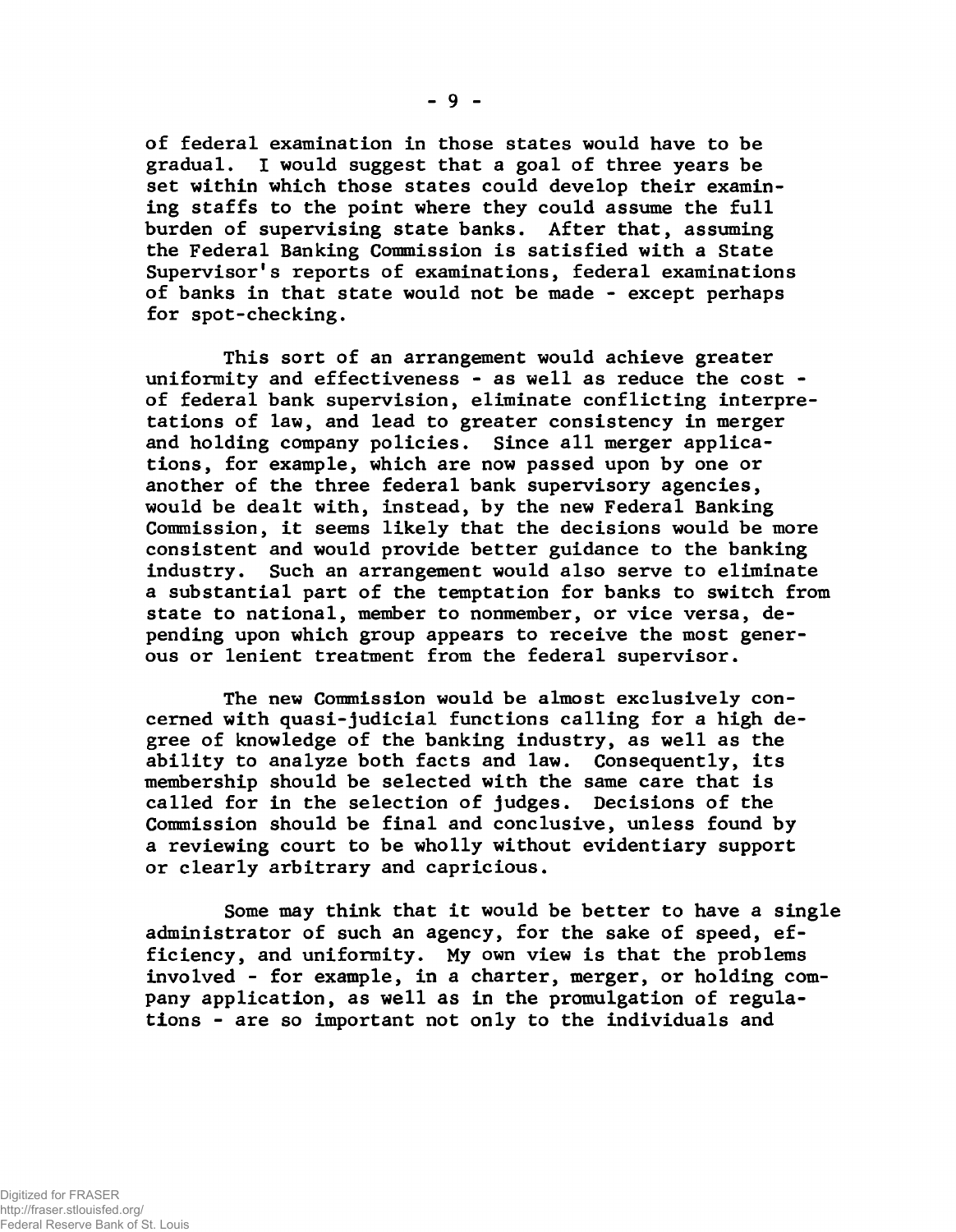**of federal examination in those states would have to be gradual. I would suggest that a goal of three years be set within which those states could develop their examining staffs to the point where they could assume the full burden of supervising state banks. After that, assuming the Federal Banking Commission is satisfied with a State Supervisor's reports of examinations, federal examinations of banks in that state would not be made - except perhaps for spot-checking.**

**This sort of an arrangement would achieve greater uniformity and effectiveness - as well as reduce the cost of federal bank supervision, eliminate conflicting interpretations of law, and lead to greater consistency in merger and holding company policies. Since all merger applications, for example, which are now passed upon by one or another of the three federal bank supervisory agencies, would be dealt with, instead, by the new Federal Banking Commission, it seems likely that the decisions would be more consistent and would provide better guidance to the banking industry. Such an arrangement would also serve to eliminate a substantial part of the temptation for banks to switch from state to national, member to nonmember, or vice versa, depending upon which group appears to receive the most generous or lenient treatment from the federal supervisor.**

**The new Commission would be almost exclusively concerned with quasi-judicial functions calling for a high degree of knowledge of the banking industry, as well as the ability to analyze both facts and law. Consequently, its membership should be selected with the same care that is called for in the selection of judges. Decisions of the Commission should be final and conclusive, unless found by a reviewing court to be wholly without evidentiary support or clearly arbitrary and capricious.**

**Some may think that it would be better to have a single administrator of such an agency, for the sake of speed, efficiency, and uniformity. My own view is that the problems involved - for example, in a charter, merger, or holding company application, as well as in the promulgation of regulations - are so important not only to the individuals and**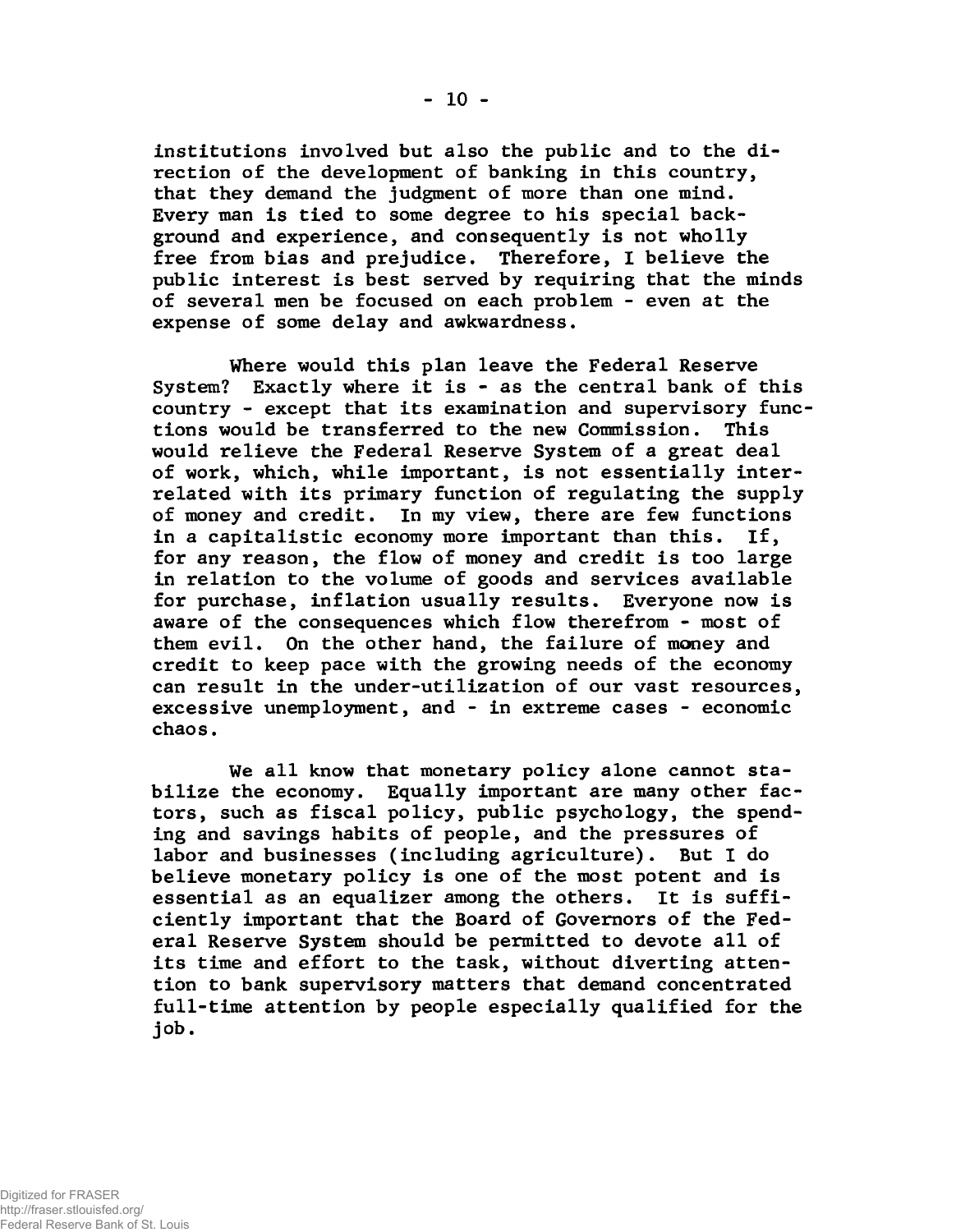**institutions involved but also the public and to the direction of the development of banking in this country, that they demand the judgment of more than one mind. Every man is tied to some degree to his special background and experience, and consequently is not wholly free from bias and prejudice. Therefore, I believe the public interest is best served by requiring that the minds of several men be focused on each problem - even at the expense of some delay and awkwardness.**

**Where would this plan leave the Federal Reserve System? Exactly where it is - as the central bank of this country - except that its examination and supervisory functions would be transferred to the new Commission. This would relieve the Federal Reserve System of a great deal of work, which, while important, is not essentially interrelated with its primary function of regulating the supply of money and credit. In my view, there are few functions in a capitalistic economy more important than this. If, for any reason, the flow of money and credit is too large in relation to the volume of goods and services available for purchase, inflation usually results. Everyone now is aware of the consequences which flow therefrom - most of them evil. On the other hand, the failure of money and credit to keep pace with the growing needs of the economy can result in the under-utilization of our vast resources, excessive unemployment, and - in extreme cases - economic chaos.**

**We all know that monetary policy alone cannot stabilize the economy. Equally important are many other factors, such as fiscal policy, public psychology, the spending and savings habits of people, and the pressures of labor and businesses (including agriculture). But I do believe monetary policy is one of the most potent and is essential as an equalizer among the others. It is sufficiently important that the Board of Governors of the Federal Reserve System should be permitted to devote all of its time and effort to the task, without diverting attention to bank supervisory matters that demand concentrated full-time attention by people especially qualified for the job.**